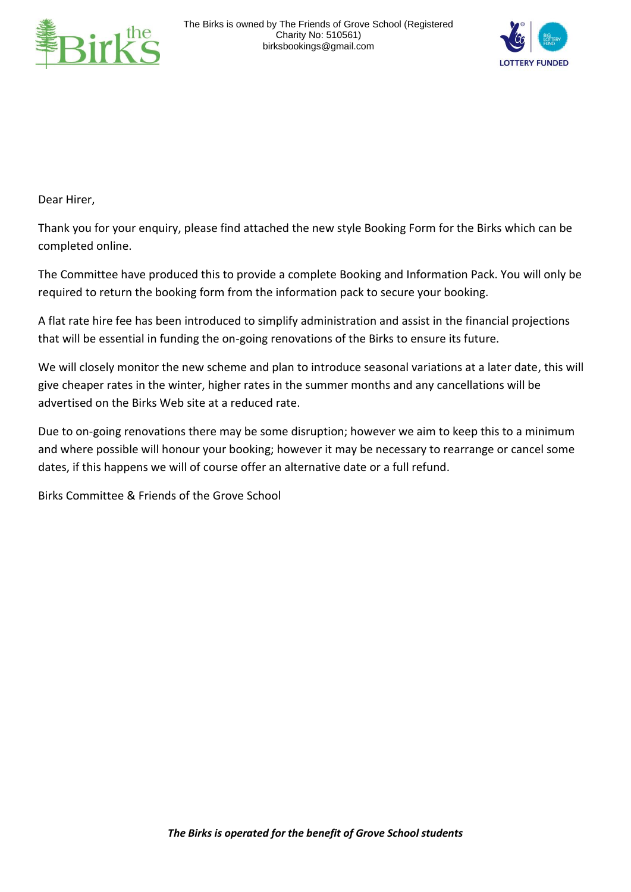



Dear Hirer,

Thank you for your enquiry, please find attached the new style Booking Form for the Birks which can be completed online.

The Committee have produced this to provide a complete Booking and Information Pack. You will only be required to return the booking form from the information pack to secure your booking.

A flat rate hire fee has been introduced to simplify administration and assist in the financial projections that will be essential in funding the on-going renovations of the Birks to ensure its future.

We will closely monitor the new scheme and plan to introduce seasonal variations at a later date, this will give cheaper rates in the winter, higher rates in the summer months and any cancellations will be advertised on the Birks Web site at a reduced rate.

Due to on-going renovations there may be some disruption; however we aim to keep this to a minimum and where possible will honour your booking; however it may be necessary to rearrange or cancel some dates, if this happens we will of course offer an alternative date or a full refund.

Birks Committee & Friends of the Grove School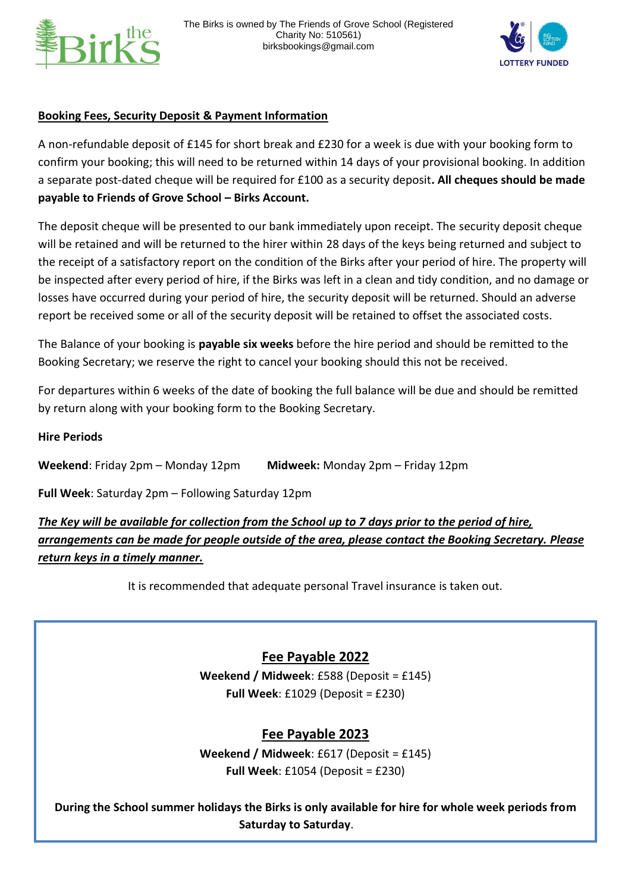



## **Booking Fees, Security Deposit & Payment Information**

A non-refundable deposit of £145 for short break and £230 for a week is due with your booking form to confirm your booking; this will need to be returned within 14 days of your provisional booking. In addition a separate post-dated cheque will be required for £100 as a security deposit**. All cheques should be made payable to Friends of Grove School – Birks Account.**

The deposit cheque will be presented to our bank immediately upon receipt. The security deposit cheque will be retained and will be returned to the hirer within 28 days of the keys being returned and subject to the receipt of a satisfactory report on the condition of the Birks after your period of hire. The property will be inspected after every period of hire, if the Birks was left in a clean and tidy condition, and no damage or losses have occurred during your period of hire, the security deposit will be returned. Should an adverse report be received some or all of the security deposit will be retained to offset the associated costs.

The Balance of your booking is **payable six weeks** before the hire period and should be remitted to the Booking Secretary; we reserve the right to cancel your booking should this not be received.

For departures within 6 weeks of the date of booking the full balance will be due and should be remitted by return along with your booking form to the Booking Secretary.

### **Hire Periods**

**Weekend**: Friday 2pm – Monday 12pm **Midweek:** Monday 2pm – Friday 12pm

**Full Week**: Saturday 2pm – Following Saturday 12pm

*The Key will be available for collection from the School up to 7 days prior to the period of hire, arrangements can be made for people outside of the area, please contact the Booking Secretary. Please return keys in a timely manner.*

It is recommended that adequate personal Travel insurance is taken out.

# **Fee Payable 2022**

**Weekend / Midweek**: £588 (Deposit = £145) **Full Week**: £1029 (Deposit = £230)

# **Fee Payable 2023**

**Weekend / Midweek**: £617 (Deposit = £145) **Full Week**: £1054 (Deposit = £230)

*The Birks is operated for the benefit of Grove School students* **During the School summer holidays the Birks is only available for hire for whole week periods from Saturday to Saturday**.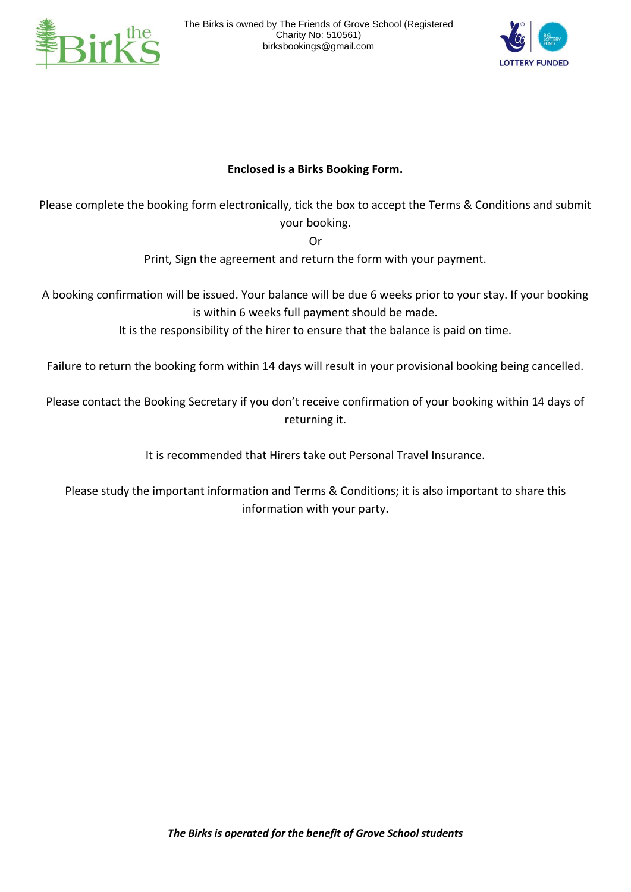



# **Enclosed is a Birks Booking Form.**

Please complete the booking form electronically, tick the box to accept the Terms & Conditions and submit your booking.

Or

Print, Sign the agreement and return the form with your payment.

A booking confirmation will be issued. Your balance will be due 6 weeks prior to your stay. If your booking is within 6 weeks full payment should be made.

It is the responsibility of the hirer to ensure that the balance is paid on time.

Failure to return the booking form within 14 days will result in your provisional booking being cancelled.

Please contact the Booking Secretary if you don't receive confirmation of your booking within 14 days of returning it.

It is recommended that Hirers take out Personal Travel Insurance.

Please study the important information and Terms & Conditions; it is also important to share this information with your party.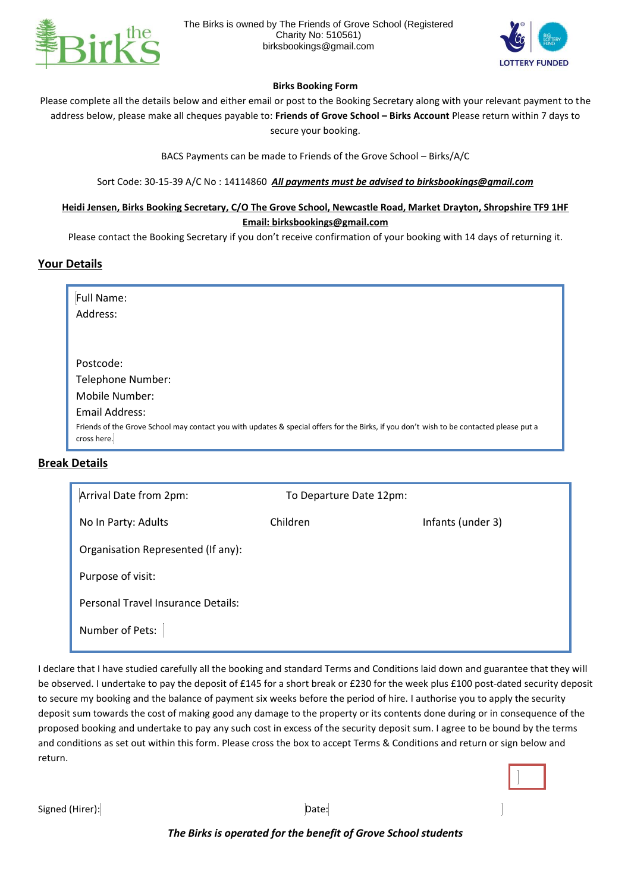



### **Birks Booking Form**

Please complete all the details below and either email or post to the Booking Secretary along with your relevant payment to the address below, please make all cheques payable to: **Friends of Grove School – Birks Account** Please return within 7 days to secure your booking.

BACS Payments can be made to Friends of the Grove School – Birks/A/C

Sort Code: 30-15-39 A/C No : 14114860 *All payments must be advised to birksbookings@gmail.com*

### **Heidi Jensen, Birks Booking Secretary, C/O The Grove School, Newcastle Road, Market Drayton, Shropshire TF9 1HF Email: birksbookings@gmail.com**

Please contact the Booking Secretary if you don't receive confirmation of your booking with 14 days of returning it.

### **Your Details**

| Full Name:                                                                                                                                             |
|--------------------------------------------------------------------------------------------------------------------------------------------------------|
| Address:                                                                                                                                               |
|                                                                                                                                                        |
|                                                                                                                                                        |
| Postcode:                                                                                                                                              |
| Telephone Number:                                                                                                                                      |
| Mobile Number:                                                                                                                                         |
| Email Address:                                                                                                                                         |
| Friends of the Grove School may contact you with updates & special offers for the Birks, if you don't wish to be contacted please put a<br>cross here. |

### **Break Details**

| Arrival Date from 2pm:                    | To Departure Date 12pm: |                   |
|-------------------------------------------|-------------------------|-------------------|
| No In Party: Adults                       | Children                | Infants (under 3) |
| Organisation Represented (If any):        |                         |                   |
| Purpose of visit:                         |                         |                   |
| <b>Personal Travel Insurance Details:</b> |                         |                   |
| Number of Pets:                           |                         |                   |

I declare that I have studied carefully all the booking and standard Terms and Conditions laid down and guarantee that they will be observed. I undertake to pay the deposit of £145 for a short break or £230 for the week plus £100 post-dated security deposit to secure my booking and the balance of payment six weeks before the period of hire. I authorise you to apply the security deposit sum towards the cost of making good any damage to the property or its contents done during or in consequence of the proposed booking and undertake to pay any such cost in excess of the security deposit sum. I agree to be bound by the terms and conditions as set out within this form. Please cross the box to accept Terms & Conditions and return or sign below and return.

Signed (Hirer): Date:

### *The Birks is operated for the benefit of Grove School students*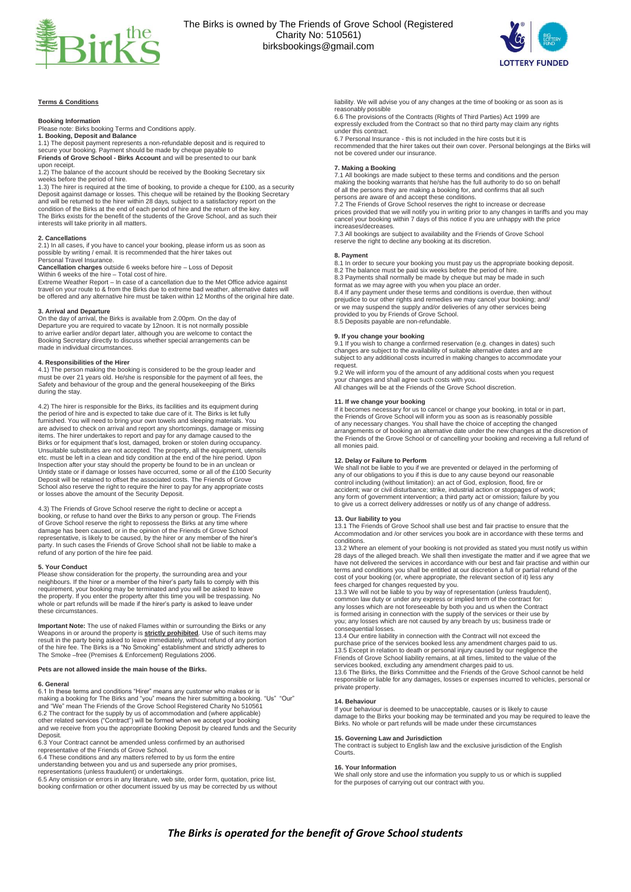



### **Terms & Conditions**

### **Booking Information**

Please note: Birks booking Terms and Conditions apply.

**1. Booking, Deposit and Balance** 1.1) The deposit payment represents a non-refundable deposit and is required to secure your booking. Payment should be made by cheque payable to **Friends of Grove School - Birks Account** and will be presented to our bank

upon receipt. 1.2) The balance of the account should be received by the Booking Secretary six

weeks before the period of hire. 1.3) The hirer is required at the time of booking, to provide a cheque for £100, as a security Deposit against damage or losses. This cheque will be retained by the Booking Secretary and will be returned to the hirer within 28 days, subject to a satisfactory report on the condition of the Birks at the end of each period of hire and the return of the key. The Birks exists for the benefit of the students of the Grove School, and as such their interests will take priority in all matters.

### **2. Cancellations**

2.1) In all cases, if you have to cancel your booking, please inform us as soon as possible by writing / email. It is recommended that the hirer takes out Personal Travel Insurance.

**Cancellation charges** outside 6 weeks before hire – Loss of Deposit Within 6 weeks of the hire – Total cost of hire.

Extreme Weather Report – In case of a cancellation due to the Met Office advice against travel on your route to & from the Birks due to extreme bad weather, alternative dates will be offered and any alternative hire must be taken within 12 Months of the original hire date.

**3. Arrival and Departure** On the day of arrival, the Birks is available from 2.00pm. On the day of Departure you are required to vacate by 12noon. It is not normally possible to arrive earlier and/or depart later, although you are welcome to contact the Booking Secretary directly to discuss whether special arrangements can be made in individual circumstances.

**4. Responsibilities of the Hirer**<br>4.1) The person making the booking is considered to be the group leader and<br>must be over 21 years old. He/she is responsible for the payment of all fees, the<br>Safety and behaviour of the g during the stay.

4.2) The hirer is responsible for the Birks, its facilities and its equipment during the period of hire and is expected to take due care of it. The Birks is let fully furnished. You will need to bring your own towels and sleeping materials. You are advised to check on arrival and report any shortcomings, damage or missing items. The hirer undertakes to report and pay for any damage caused to the Birks or for equipment that's lost, damaged, broken or stolen during occupancy.<br>Unsuitable substitutes are not accepted. The property, all the equi Untidy state or if damage or losses have occurred, some or all of the £100 Security Deposit will be retained to offset the associated costs. The Friends of Grove School also reserve the right to require the hirer to pay for any appropriate costs or losses above the amount of the Security Deposit.

4.3) The Friends of Grove School reserve the right to decline or accept a booking, or refuse to hand over the Birks to any person or group. The Friends of Grove School reserve the right to repossess the Birks at any time where damage has been caused, or in the opinion of the Friends of Grove School<br>representative, is likely to be caused, by the hirer or any member of the hirer's<br>party. In such cases the Friends of Grove School shall not be liabl refund of any portion of the hire fee paid.

**5. Your Conduct** Please show consideration for the property, the surrounding area and your neighbours. If the hirer or a member of the hirer's party fails to comply with this requirement, your booking may be terminated and you will be asked to leave the property. If you enter the property after this time you will be trespassing. No whole or part refunds will be made if the hirer's party is asked to leave under these circumstances.

**Important Note:** The use of naked Flames within or surrounding the Birks or any Weapons in or around the property is **<u>strictly prohibited</u>**. Use of such items may result in the party being asked to leave immediately, wit

### **Pets are not allowed inside the main house of the Birks.**

### **6. General**

6.1 In these terms and conditions "Hirer" means any customer who makes or is making a booking for The Birks and "you" means the hirer submitting a booking. "Us" "Our"<br>and "We" mean The Friends of the Grove School Registered Charity No 510561<br>6.2 The contract for the supply by us of accommodation an and we receive from you the appropriate Booking Deposit by cleared funds and the Security Deposit.

6.3 Your Contract cannot be amended unless confirmed by an authorised representative of the Friends of Grove School.

6.4 These conditions and any matters referred to by us form the entire understanding between you and us and supersede any prior promises,

representations (unless fraudulent) or undertakings. 6.5 Any omission or errors in any literature, web site, order form, quotation, price list, booking confirmation or other document issued by us may be corrected by us without liability. We will advise you of any changes at the time of booking or as soon as is reasonably possible 6.6 The provisions of the Contracts (Rights of Third Parties) Act 1999 are

expressly excluded from the Contract so that no third party may claim any rights under this contract.

6.7 Personal Insurance - this is not included in the hire costs but it is recommended that the hirer takes out their own cover. Personal belongings at the Birks will not be covered under our insurance.

### **7. Making a Booking**

7.1 All bookings are made subject to these terms and conditions and the person making the booking warrants that he/she has the full authority to do so on behalf of all the persons they are making a booking for, and confirms that all such persons are aware of and accept these conditions. 7.2 The Friends of Grove School reserves the right to increase or decrease

prices provided that we will notify you in writing prior to any changes in tariffs and you may cancel your booking within 7 days of this notice if you are unhappy with the price increases/decreases.

7.3 All bookings are subject to availability and the Friends of Grove School reserve the right to decline any booking at its discretion.

### **8. Payment**

8.1 In order to secure your booking you must pay us the appropriate booking deposit. 8.2 The balance must be paid six weeks before the period of hire.

8.3 Payments shall normally be made by cheque but may be made in such format as we may agree with you when you place an order.

8.4 If any payment under these terms and conditions is overdue, then without prejudice to our other rights and remedies we may cancel your booking; and/ or we may suspend the supply and/or deliveries of any other services being provided to you by Friends of Grove School.

8.5 Deposits payable are non-refundable.

**9. If you change your booking**<br>9.1 If you wish to change a confirmed reservation (e.g. changes in dates) such<br>changes are subject to the availability of suitable alternative dates and are subject to any additional costs incurred in making changes to accommodate your request.

9.2 We will inform you of the amount of any additional costs when you request your changes and shall agree such costs with you. All changes will be at the Friends of the Grove School discretion.

### **11. If we change your booking**

If it becomes necessary for us to cancel or change your booking, in total or in part, the Friends of Grove School will inform you as soon as is reasonably possible of any necessary changes. You shall have the choice of accepting the changed arrangements or of booking an alternative date under the new changes at the discretion of the Friends of the Grove School or of cancelling your booking and receiving a full refund of all monies paid.

### **12. Delay or Failure to Perform**

We shall not be liable to you if we are prevented or delayed in the performing of<br>any of our obligations to you if this is due to any cause beyond our reasonable<br>control including (without limitation): an act of God, explo accident; war or civil disturbance; strike, industrial action or stoppages of work; any form of government intervention; a third party act or omission; failure by you to give us a correct delivery addresses or notify us of any change of addres.

**13. Our liability to you** 13.1 The Friends of Grove School shall use best and fair practise to ensure that the Accommodation and /or other services you book are in accordance with these terms and conditions.

13.2 Where an element of your booking is not provided as stated you must notify us within<br>28 days of the alleged breach. We shall then investigate the matter and if we agree that we<br>have not delivered the services in accor terms and conditions you shall be entitled at our discretion a full or partial refund of the<br>cost of your booking (or, where appropriate, the relevant section of it) less any<br>fees charged for changes requested by you.<br>13.3

common law duty or under any express or implied term of the contract for: any losses which are not foreseeable by both you and us when the Contract is formed arising in connection with the supply of the services or their use by you; any losses which are not caused by any breach by us; business trade or consequential losses.

13.4 Our entire liability in connection with the Contract will not exceed the purchase price of the services booked less any amendment charges paid to us.<br>13.5 Except in relation to death or personal injury caused by our negligence the<br>Friends of Grove School liability remains, at all times, limited

services booked, excluding any amendment charges paid to us. 13.6 The Birks, the Birks Committee and the Friends of the Grove School cannot be held responsible or liable for any damages, losses or expenses incurred to vehicles, personal or private property.

### **14. Behaviour**

If your behaviour is deemed to be unacceptable, causes or is likely to cause damage to the Birks your booking may be terminated and you may be required to leave the Birks. No whole or part refunds will be made under these circumstances

### **15. Governing Law and Jurisdiction**

The contract is subject to English law and the exclusive jurisdiction of the English Courts.

### **16. Your Information**

We shall only store and use the information you supply to us or which is supplied for the purposes of carrying out our contract with you.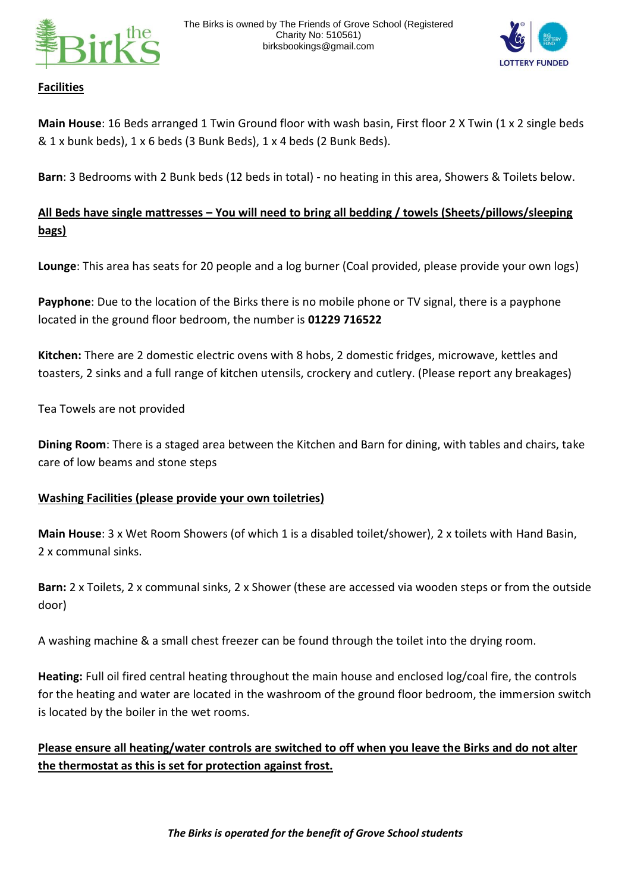



## **Facilities**

**Main House**: 16 Beds arranged 1 Twin Ground floor with wash basin, First floor 2 X Twin (1 x 2 single beds  $& 1x$  bunk beds),  $1x$  6 beds (3 Bunk Beds),  $1x$  4 beds (2 Bunk Beds).

**Barn**: 3 Bedrooms with 2 Bunk beds (12 beds in total) - no heating in this area, Showers & Toilets below.

# **All Beds have single mattresses – You will need to bring all bedding / towels (Sheets/pillows/sleeping bags)**

Lounge: This area has seats for 20 people and a log burner (Coal provided, please provide your own logs)

**Payphone**: Due to the location of the Birks there is no mobile phone or TV signal, there is a payphone located in the ground floor bedroom, the number is **01229 716522**

**Kitchen:** There are 2 domestic electric ovens with 8 hobs, 2 domestic fridges, microwave, kettles and toasters, 2 sinks and a full range of kitchen utensils, crockery and cutlery. (Please report any breakages)

Tea Towels are not provided

**Dining Room**: There is a staged area between the Kitchen and Barn for dining, with tables and chairs, take care of low beams and stone steps

## **Washing Facilities (please provide your own toiletries)**

**Main House**: 3 x Wet Room Showers (of which 1 is a disabled toilet/shower), 2 x toilets with Hand Basin, 2 x communal sinks.

**Barn:** 2 x Toilets, 2 x communal sinks, 2 x Shower (these are accessed via wooden steps or from the outside door)

A washing machine & a small chest freezer can be found through the toilet into the drying room.

**Heating:** Full oil fired central heating throughout the main house and enclosed log/coal fire, the controls for the heating and water are located in the washroom of the ground floor bedroom, the immersion switch is located by the boiler in the wet rooms.

**Please ensure all heating/water controls are switched to off when you leave the Birks and do not alter the thermostat as this is set for protection against frost.**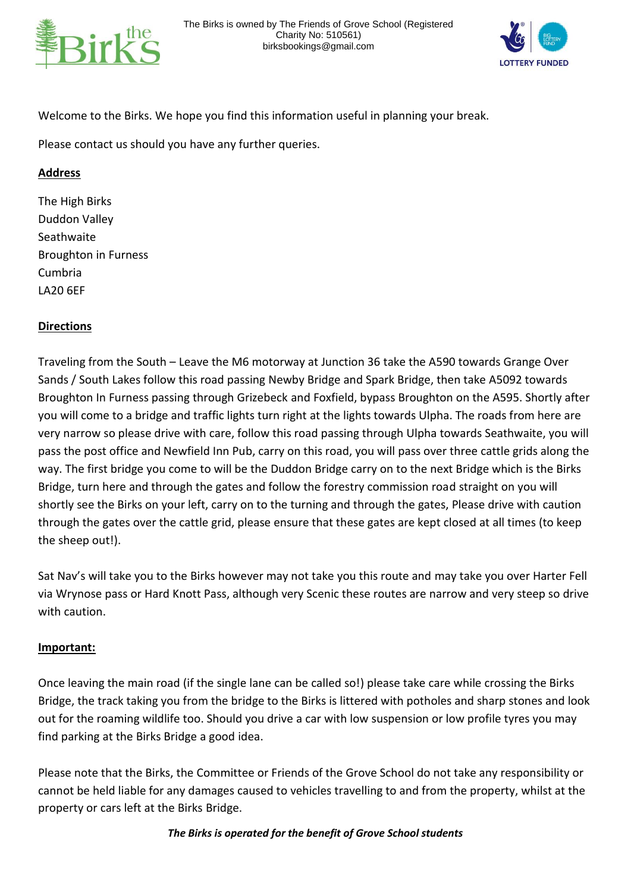



Welcome to the Birks. We hope you find this information useful in planning your break.

Please contact us should you have any further queries.

## **Address**

The High Birks Duddon Valley **Seathwaite** Broughton in Furness Cumbria LA20 6EF

## **Directions**

Traveling from the South – Leave the M6 motorway at Junction 36 take the A590 towards Grange Over Sands / South Lakes follow this road passing Newby Bridge and Spark Bridge, then take A5092 towards Broughton In Furness passing through Grizebeck and Foxfield, bypass Broughton on the A595. Shortly after you will come to a bridge and traffic lights turn right at the lights towards Ulpha. The roads from here are very narrow so please drive with care, follow this road passing through Ulpha towards Seathwaite, you will pass the post office and Newfield Inn Pub, carry on this road, you will pass over three cattle grids along the way. The first bridge you come to will be the Duddon Bridge carry on to the next Bridge which is the Birks Bridge, turn here and through the gates and follow the forestry commission road straight on you will shortly see the Birks on your left, carry on to the turning and through the gates, Please drive with caution through the gates over the cattle grid, please ensure that these gates are kept closed at all times (to keep the sheep out!).

Sat Nav's will take you to the Birks however may not take you this route and may take you over Harter Fell via Wrynose pass or Hard Knott Pass, although very Scenic these routes are narrow and very steep so drive with caution.

## **Important:**

Once leaving the main road (if the single lane can be called so!) please take care while crossing the Birks Bridge, the track taking you from the bridge to the Birks is littered with potholes and sharp stones and look out for the roaming wildlife too. Should you drive a car with low suspension or low profile tyres you may find parking at the Birks Bridge a good idea.

Please note that the Birks, the Committee or Friends of the Grove School do not take any responsibility or cannot be held liable for any damages caused to vehicles travelling to and from the property, whilst at the property or cars left at the Birks Bridge.

## *The Birks is operated for the benefit of Grove School students*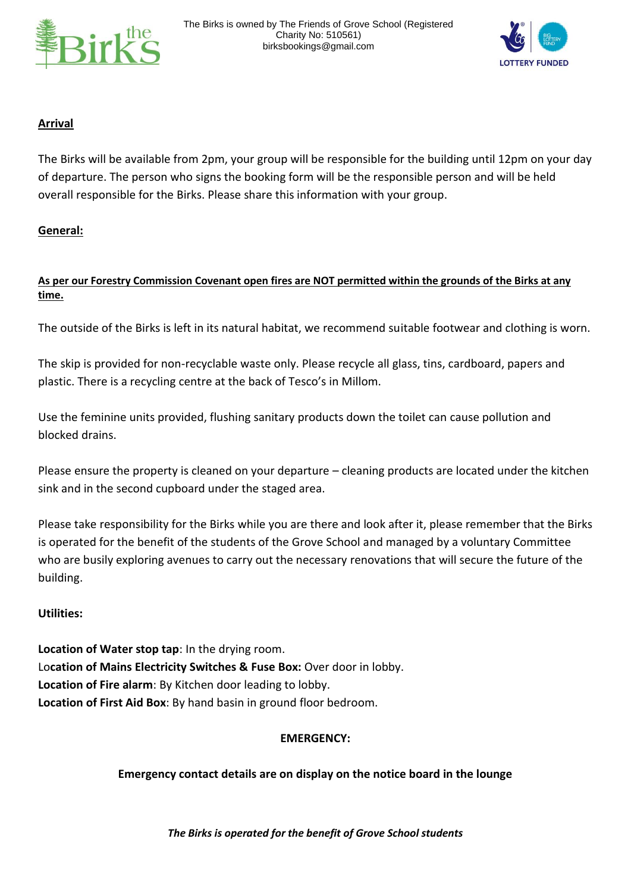



## **Arrival**

The Birks will be available from 2pm, your group will be responsible for the building until 12pm on your day of departure. The person who signs the booking form will be the responsible person and will be held overall responsible for the Birks. Please share this information with your group.

## **General:**

## **As per our Forestry Commission Covenant open fires are NOT permitted within the grounds of the Birks at any time.**

The outside of the Birks is left in its natural habitat, we recommend suitable footwear and clothing is worn.

The skip is provided for non-recyclable waste only. Please recycle all glass, tins, cardboard, papers and plastic. There is a recycling centre at the back of Tesco's in Millom.

Use the feminine units provided, flushing sanitary products down the toilet can cause pollution and blocked drains.

Please ensure the property is cleaned on your departure – cleaning products are located under the kitchen sink and in the second cupboard under the staged area.

Please take responsibility for the Birks while you are there and look after it, please remember that the Birks is operated for the benefit of the students of the Grove School and managed by a voluntary Committee who are busily exploring avenues to carry out the necessary renovations that will secure the future of the building.

## **Utilities:**

**Location of Water stop tap**: In the drying room. Lo**cation of Mains Electricity Switches & Fuse Box:** Over door in lobby. **Location of Fire alarm**: By Kitchen door leading to lobby. **Location of First Aid Box**: By hand basin in ground floor bedroom.

## **EMERGENCY:**

## **Emergency contact details are on display on the notice board in the lounge**

*The Birks is operated for the benefit of Grove School students*